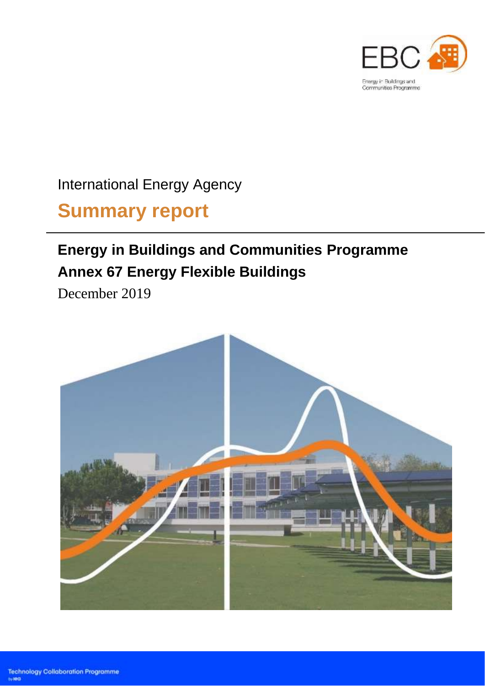

International Energy Agency

# **Summary report**

## **Energy in Buildings and Communities Programme Annex 67 Energy Flexible Buildings**

December 2019

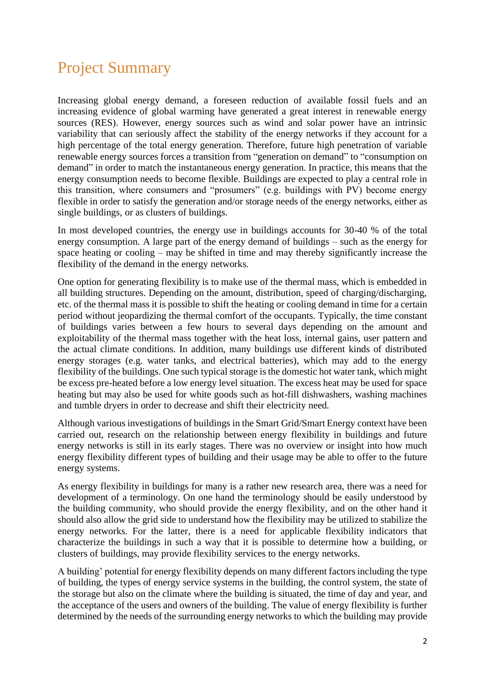## Project Summary

Increasing global energy demand, a foreseen reduction of available fossil fuels and an increasing evidence of global warming have generated a great interest in renewable energy sources (RES). However, energy sources such as wind and solar power have an intrinsic variability that can seriously affect the stability of the energy networks if they account for a high percentage of the total energy generation. Therefore, future high penetration of variable renewable energy sources forces a transition from "generation on demand" to "consumption on demand" in order to match the instantaneous energy generation. In practice, this means that the energy consumption needs to become flexible. Buildings are expected to play a central role in this transition, where consumers and "prosumers" (e.g. buildings with PV) become energy flexible in order to satisfy the generation and/or storage needs of the energy networks, either as single buildings, or as clusters of buildings.

In most developed countries, the energy use in buildings accounts for 30-40 % of the total energy consumption. A large part of the energy demand of buildings – such as the energy for space heating or cooling – may be shifted in time and may thereby significantly increase the flexibility of the demand in the energy networks.

One option for generating flexibility is to make use of the thermal mass, which is embedded in all building structures. Depending on the amount, distribution, speed of charging/discharging, etc. of the thermal mass it is possible to shift the heating or cooling demand in time for a certain period without jeopardizing the thermal comfort of the occupants. Typically, the time constant of buildings varies between a few hours to several days depending on the amount and exploitability of the thermal mass together with the heat loss, internal gains, user pattern and the actual climate conditions. In addition, many buildings use different kinds of distributed energy storages (e.g. water tanks, and electrical batteries), which may add to the energy flexibility of the buildings. One such typical storage is the domestic hot water tank, which might be excess pre-heated before a low energy level situation. The excess heat may be used for space heating but may also be used for white goods such as hot-fill dishwashers, washing machines and tumble dryers in order to decrease and shift their electricity need.

Although various investigations of buildings in the Smart Grid/Smart Energy context have been carried out, research on the relationship between energy flexibility in buildings and future energy networks is still in its early stages. There was no overview or insight into how much energy flexibility different types of building and their usage may be able to offer to the future energy systems.

As energy flexibility in buildings for many is a rather new research area, there was a need for development of a terminology. On one hand the terminology should be easily understood by the building community, who should provide the energy flexibility, and on the other hand it should also allow the grid side to understand how the flexibility may be utilized to stabilize the energy networks. For the latter, there is a need for applicable flexibility indicators that characterize the buildings in such a way that it is possible to determine how a building, or clusters of buildings, may provide flexibility services to the energy networks.

A building' potential for energy flexibility depends on many different factors including the type of building, the types of energy service systems in the building, the control system, the state of the storage but also on the climate where the building is situated, the time of day and year, and the acceptance of the users and owners of the building. The value of energy flexibility is further determined by the needs of the surrounding energy networks to which the building may provide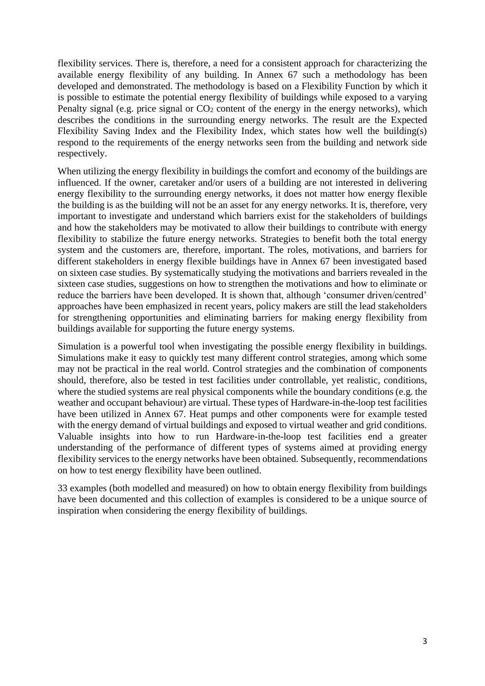flexibility services. There is, therefore, a need for a consistent approach for characterizing the available energy flexibility of any building. In Annex 67 such a methodology has been developed and demonstrated. The methodology is based on a Flexibility Function by which it is possible to estimate the potential energy flexibility of buildings while exposed to a varying Penalty signal (e.g. price signal or  $CO<sub>2</sub>$  content of the energy in the energy networks), which describes the conditions in the surrounding energy networks. The result are the Expected Flexibility Saving Index and the Flexibility Index, which states how well the building(s) respond to the requirements of the energy networks seen from the building and network side respectively.

When utilizing the energy flexibility in buildings the comfort and economy of the buildings are influenced. If the owner, caretaker and/or users of a building are not interested in delivering energy flexibility to the surrounding energy networks, it does not matter how energy flexible the building is as the building will not be an asset for any energy networks. It is, therefore, very important to investigate and understand which barriers exist for the stakeholders of buildings and how the stakeholders may be motivated to allow their buildings to contribute with energy flexibility to stabilize the future energy networks. Strategies to benefit both the total energy system and the customers are, therefore, important. The roles, motivations, and barriers for different stakeholders in energy flexible buildings have in Annex 67 been investigated based on sixteen case studies. By systematically studying the motivations and barriers revealed in the sixteen case studies, suggestions on how to strengthen the motivations and how to eliminate or reduce the barriers have been developed. It is shown that, although 'consumer driven/centred' approaches have been emphasized in recent years, policy makers are still the lead stakeholders for strengthening opportunities and eliminating barriers for making energy flexibility from buildings available for supporting the future energy systems.

Simulation is a powerful tool when investigating the possible energy flexibility in buildings. Simulations make it easy to quickly test many different control strategies, among which some may not be practical in the real world. Control strategies and the combination of components should, therefore, also be tested in test facilities under controllable, yet realistic, conditions, where the studied systems are real physical components while the boundary conditions (e.g. the weather and occupant behaviour) are virtual. These types of Hardware-in-the-loop test facilities have been utilized in Annex 67. Heat pumps and other components were for example tested with the energy demand of virtual buildings and exposed to virtual weather and grid conditions. Valuable insights into how to run Hardware-in-the-loop test facilities end a greater understanding of the performance of different types of systems aimed at providing energy flexibility services to the energy networks have been obtained. Subsequently, recommendations on how to test energy flexibility have been outlined.

33 examples (both modelled and measured) on how to obtain energy flexibility from buildings have been documented and this collection of examples is considered to be a unique source of inspiration when considering the energy flexibility of buildings.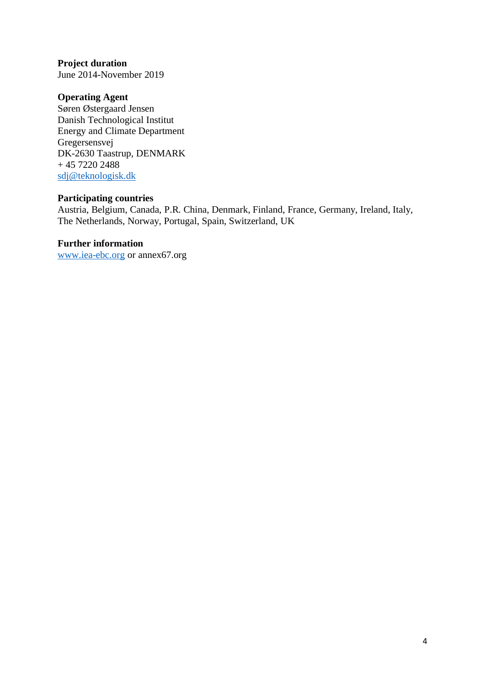### **Project duration**

June 2014-November 2019

#### **Operating Agent**

Søren Østergaard Jensen Danish Technological Institut Energy and Climate Department Gregersensvej DK-2630 Taastrup, DENMARK + 45 7220 2488 [sdj@teknologisk.dk](mailto:sdj@teknologisk.dk)

#### **Participating countries**

Austria, Belgium, Canada, P.R. China, Denmark, Finland, France, Germany, Ireland, Italy, The Netherlands, Norway, Portugal, Spain, Switzerland, UK

#### **Further information**

[www.iea-ebc.org](http://www.iea-ebc.org/) or annex67.org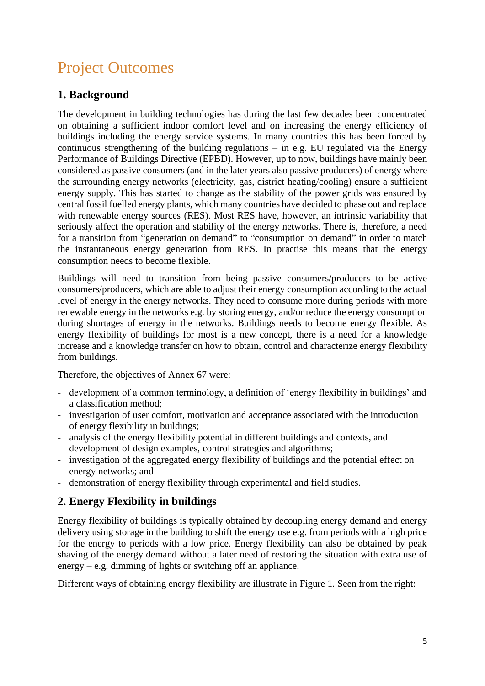## Project Outcomes

#### **1. Background**

The development in building technologies has during the last few decades been concentrated on obtaining a sufficient indoor comfort level and on increasing the energy efficiency of buildings including the energy service systems. In many countries this has been forced by continuous strengthening of the building regulations – in e.g. EU regulated via the Energy Performance of Buildings Directive (EPBD). However, up to now, buildings have mainly been considered as passive consumers (and in the later years also passive producers) of energy where the surrounding energy networks (electricity, gas, district heating/cooling) ensure a sufficient energy supply. This has started to change as the stability of the power grids was ensured by central fossil fuelled energy plants, which many countries have decided to phase out and replace with renewable energy sources (RES). Most RES have, however, an intrinsic variability that seriously affect the operation and stability of the energy networks. There is, therefore, a need for a transition from "generation on demand" to "consumption on demand" in order to match the instantaneous energy generation from RES. In practise this means that the energy consumption needs to become flexible.

Buildings will need to transition from being passive consumers/producers to be active consumers/producers, which are able to adjust their energy consumption according to the actual level of energy in the energy networks. They need to consume more during periods with more renewable energy in the networks e.g. by storing energy, and/or reduce the energy consumption during shortages of energy in the networks. Buildings needs to become energy flexible. As energy flexibility of buildings for most is a new concept, there is a need for a knowledge increase and a knowledge transfer on how to obtain, control and characterize energy flexibility from buildings.

Therefore, the objectives of Annex 67 were:

- development of a common terminology, a definition of 'energy flexibility in buildings' and a classification method;
- investigation of user comfort, motivation and acceptance associated with the introduction of energy flexibility in buildings;
- analysis of the energy flexibility potential in different buildings and contexts, and development of design examples, control strategies and algorithms;
- investigation of the aggregated energy flexibility of buildings and the potential effect on energy networks; and
- demonstration of energy flexibility through experimental and field studies.

### **2. Energy Flexibility in buildings**

Energy flexibility of buildings is typically obtained by decoupling energy demand and energy delivery using storage in the building to shift the energy use e.g. from periods with a high price for the energy to periods with a low price. Energy flexibility can also be obtained by peak shaving of the energy demand without a later need of restoring the situation with extra use of energy – e.g. dimming of lights or switching off an appliance.

Different ways of obtaining energy flexibility are illustrate in Figure 1. Seen from the right: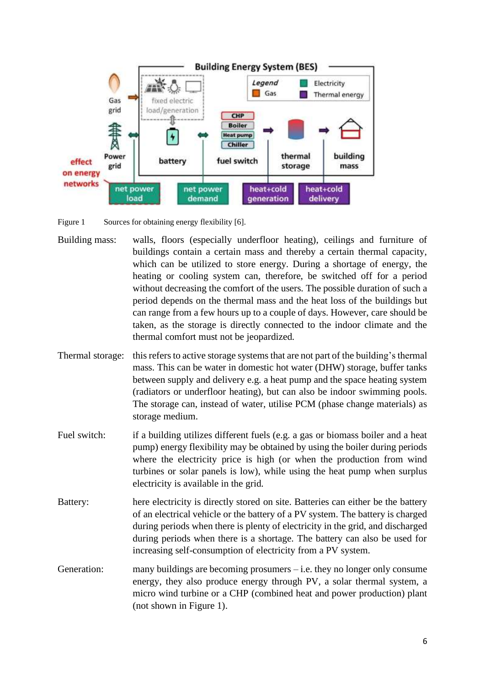

Figure 1 Sources for obtaining energy flexibility [6].

- Building mass: walls, floors (especially underfloor heating), ceilings and furniture of buildings contain a certain mass and thereby a certain thermal capacity, which can be utilized to store energy. During a shortage of energy, the heating or cooling system can, therefore, be switched off for a period without decreasing the comfort of the users. The possible duration of such a period depends on the thermal mass and the heat loss of the buildings but can range from a few hours up to a couple of days. However, care should be taken, as the storage is directly connected to the indoor climate and the thermal comfort must not be jeopardized.
- Thermal storage: this refers to active storage systems that are not part of the building's thermal mass. This can be water in domestic hot water (DHW) storage, buffer tanks between supply and delivery e.g. a heat pump and the space heating system (radiators or underfloor heating), but can also be indoor swimming pools. The storage can, instead of water, utilise PCM (phase change materials) as storage medium.
- Fuel switch: if a building utilizes different fuels (e.g. a gas or biomass boiler and a heat pump) energy flexibility may be obtained by using the boiler during periods where the electricity price is high (or when the production from wind turbines or solar panels is low), while using the heat pump when surplus electricity is available in the grid.
- Battery: here electricity is directly stored on site. Batteries can either be the battery of an electrical vehicle or the battery of a PV system. The battery is charged during periods when there is plenty of electricity in the grid, and discharged during periods when there is a shortage. The battery can also be used for increasing self-consumption of electricity from a PV system.
- Generation: many buildings are becoming prosumers i.e. they no longer only consume energy, they also produce energy through PV, a solar thermal system, a micro wind turbine or a CHP (combined heat and power production) plant (not shown in Figure 1).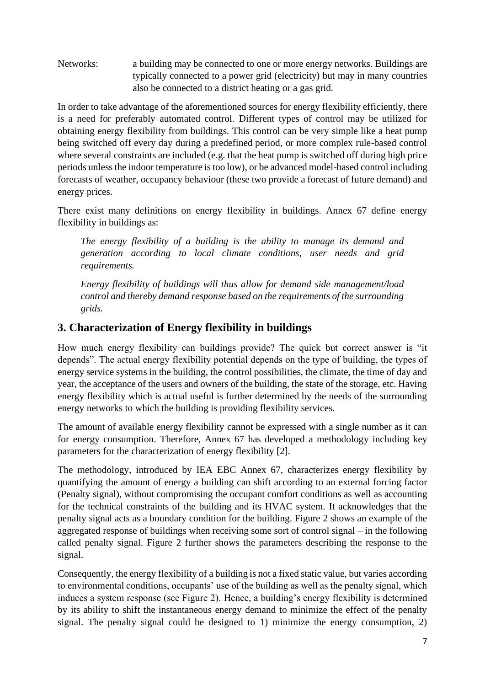Networks: a building may be connected to one or more energy networks. Buildings are typically connected to a power grid (electricity) but may in many countries also be connected to a district heating or a gas grid.

In order to take advantage of the aforementioned sources for energy flexibility efficiently, there is a need for preferably automated control. Different types of control may be utilized for obtaining energy flexibility from buildings. This control can be very simple like a heat pump being switched off every day during a predefined period, or more complex rule-based control where several constraints are included (e.g. that the heat pump is switched off during high price periods unless the indoor temperature is too low), or be advanced model-based control including forecasts of weather, occupancy behaviour (these two provide a forecast of future demand) and energy prices.

There exist many definitions on energy flexibility in buildings. Annex 67 define energy flexibility in buildings as:

*The energy flexibility of a building is the ability to manage its demand and generation according to local climate conditions, user needs and grid requirements.* 

*Energy flexibility of buildings will thus allow for demand side management/load control and thereby demand response based on the requirements of the surrounding grids.*

### **3. Characterization of Energy flexibility in buildings**

How much energy flexibility can buildings provide? The quick but correct answer is "it depends". The actual energy flexibility potential depends on the type of building, the types of energy service systems in the building, the control possibilities, the climate, the time of day and year, the acceptance of the users and owners of the building, the state of the storage, etc. Having energy flexibility which is actual useful is further determined by the needs of the surrounding energy networks to which the building is providing flexibility services.

The amount of available energy flexibility cannot be expressed with a single number as it can for energy consumption. Therefore, Annex 67 has developed a methodology including key parameters for the characterization of energy flexibility [2].

The methodology, introduced by IEA EBC Annex 67, characterizes energy flexibility by quantifying the amount of energy a building can shift according to an external forcing factor (Penalty signal), without compromising the occupant comfort conditions as well as accounting for the technical constraints of the building and its HVAC system. It acknowledges that the penalty signal acts as a boundary condition for the building. Figure 2 shows an example of the aggregated response of buildings when receiving some sort of control signal – in the following called penalty signal. Figure 2 further shows the parameters describing the response to the signal.

Consequently, the energy flexibility of a building is not a fixed static value, but varies according to environmental conditions, occupants' use of the building as well as the penalty signal, which induces a system response (see Figure 2). Hence, a building's energy flexibility is determined by its ability to shift the instantaneous energy demand to minimize the effect of the penalty signal. The penalty signal could be designed to 1) minimize the energy consumption, 2)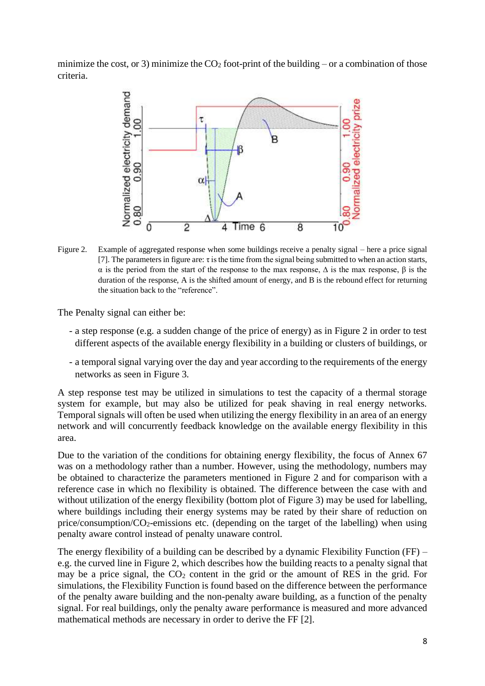minimize the cost, or 3) minimize the  $CO<sub>2</sub>$  foot-print of the building – or a combination of those criteria.



Figure 2. Example of aggregated response when some buildings receive a penalty signal – here a price signal [7]. The parameters in figure are:  $\tau$  is the time from the signal being submitted to when an action starts, α is the period from the start of the response to the max response, ∆ is the max response, β is the duration of the response, A is the shifted amount of energy, and B is the rebound effect for returning the situation back to the "reference".

The Penalty signal can either be:

- a step response (e.g. a sudden change of the price of energy) as in Figure 2 in order to test different aspects of the available energy flexibility in a building or clusters of buildings, or
- a temporal signal varying over the day and year according to the requirements of the energy networks as seen in Figure 3.

A step response test may be utilized in simulations to test the capacity of a thermal storage system for example, but may also be utilized for peak shaving in real energy networks. Temporal signals will often be used when utilizing the energy flexibility in an area of an energy network and will concurrently feedback knowledge on the available energy flexibility in this area.

Due to the variation of the conditions for obtaining energy flexibility, the focus of Annex 67 was on a methodology rather than a number. However, using the methodology, numbers may be obtained to characterize the parameters mentioned in Figure 2 and for comparison with a reference case in which no flexibility is obtained. The difference between the case with and without utilization of the energy flexibility (bottom plot of Figure 3) may be used for labelling, where buildings including their energy systems may be rated by their share of reduction on price/consumption/ $CO_2$ -emissions etc. (depending on the target of the labelling) when using penalty aware control instead of penalty unaware control.

The energy flexibility of a building can be described by a dynamic Flexibility Function (FF) – e.g. the curved line in Figure 2, which describes how the building reacts to a penalty signal that may be a price signal, the  $CO<sub>2</sub>$  content in the grid or the amount of RES in the grid. For simulations, the Flexibility Function is found based on the difference between the performance of the penalty aware building and the non-penalty aware building, as a function of the penalty signal. For real buildings, only the penalty aware performance is measured and more advanced mathematical methods are necessary in order to derive the FF [2].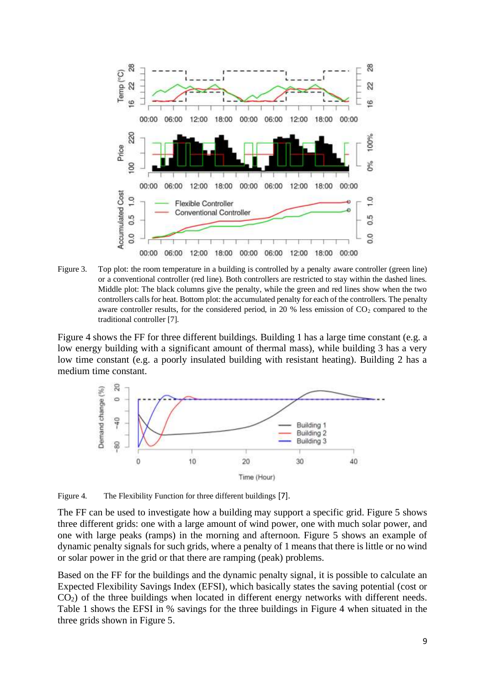

Figure 3. Top plot: the room temperature in a building is controlled by a penalty aware controller (green line) or a conventional controller (red line). Both controllers are restricted to stay within the dashed lines. Middle plot: The black columns give the penalty, while the green and red lines show when the two controllers calls for heat. Bottom plot: the accumulated penalty for each of the controllers. The penalty aware controller results, for the considered period, in 20 % less emission of  $CO<sub>2</sub>$  compared to the traditional controller [7].

Figure 4 shows the FF for three different buildings. Building 1 has a large time constant (e.g. a low energy building with a significant amount of thermal mass), while building 3 has a very low time constant (e.g. a poorly insulated building with resistant heating). Building 2 has a medium time constant.



Figure 4. The Flexibility Function for three different buildings [7].

The FF can be used to investigate how a building may support a specific grid. Figure 5 shows three different grids: one with a large amount of wind power, one with much solar power, and one with large peaks (ramps) in the morning and afternoon. Figure 5 shows an example of dynamic penalty signals for such grids, where a penalty of 1 means that there is little or no wind or solar power in the grid or that there are ramping (peak) problems.

Based on the FF for the buildings and the dynamic penalty signal, it is possible to calculate an Expected Flexibility Savings Index (EFSI), which basically states the saving potential (cost or CO2) of the three buildings when located in different energy networks with different needs. Table 1 shows the EFSI in % savings for the three buildings in Figure 4 when situated in the three grids shown in Figure 5.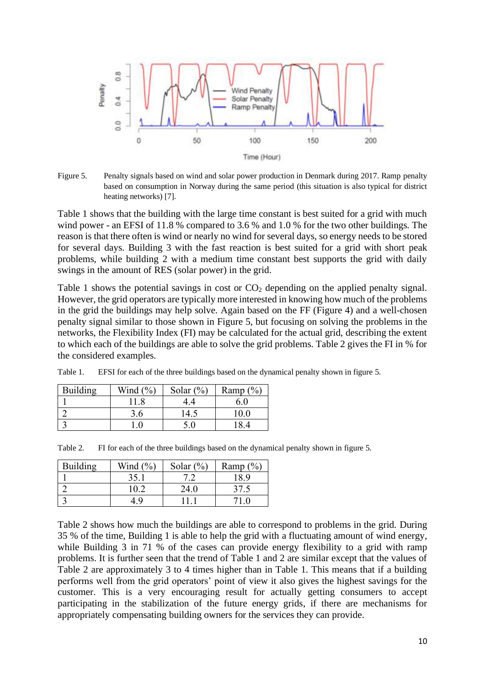

Figure 5. Penalty signals based on wind and solar power production in Denmark during 2017. Ramp penalty based on consumption in Norway during the same period (this situation is also typical for district heating networks) [7].

Table 1 shows that the building with the large time constant is best suited for a grid with much wind power - an EFSI of 11.8 % compared to 3.6 % and 1.0 % for the two other buildings. The reason is that there often is wind or nearly no wind for several days, so energy needs to be stored for several days. Building 3 with the fast reaction is best suited for a grid with short peak problems, while building 2 with a medium time constant best supports the grid with daily swings in the amount of RES (solar power) in the grid.

Table 1 shows the potential savings in cost or  $CO<sub>2</sub>$  depending on the applied penalty signal. However, the grid operators are typically more interested in knowing how much of the problems in the grid the buildings may help solve. Again based on the FF (Figure 4) and a well-chosen penalty signal similar to those shown in Figure 5, but focusing on solving the problems in the networks, the Flexibility Index (FI) may be calculated for the actual grid, describing the extent to which each of the buildings are able to solve the grid problems. Table 2 gives the FI in % for the considered examples.

| Building | Wind $(\% )$ | Solar $(\%)$ | Ramp $(\%)$ |
|----------|--------------|--------------|-------------|
|          |              |              | 6.0         |
|          | 3.6          | 14.5         | 10.0        |
|          |              | 5.0          | 184         |

Table 1. EFSI for each of the three buildings based on the dynamical penalty shown in figure 5.

|  | Table 2. FI for each of the three buildings based on the dynamical penalty shown in figure 5. |  |  |  |  |  |  |  |  |
|--|-----------------------------------------------------------------------------------------------|--|--|--|--|--|--|--|--|
|--|-----------------------------------------------------------------------------------------------|--|--|--|--|--|--|--|--|

| Building | Wind $(\% )$ | Solar $(\%)$ | Ramp $(\%)$ |
|----------|--------------|--------------|-------------|
|          | 35.1         |              | 18.9        |
|          | 10.2         | 24.0         | 37.5        |
|          |              |              |             |

Table 2 shows how much the buildings are able to correspond to problems in the grid. During 35 % of the time, Building 1 is able to help the grid with a fluctuating amount of wind energy, while Building 3 in 71 % of the cases can provide energy flexibility to a grid with ramp problems. It is further seen that the trend of Table 1 and 2 are similar except that the values of Table 2 are approximately 3 to 4 times higher than in Table 1. This means that if a building performs well from the grid operators' point of view it also gives the highest savings for the customer. This is a very encouraging result for actually getting consumers to accept participating in the stabilization of the future energy grids, if there are mechanisms for appropriately compensating building owners for the services they can provide.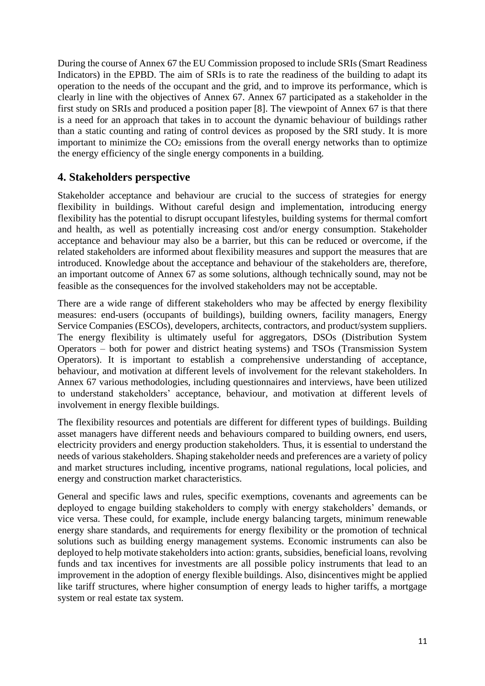During the course of Annex 67 the EU Commission proposed to include SRIs (Smart Readiness Indicators) in the EPBD. The aim of SRIs is to rate the readiness of the building to adapt its operation to the needs of the occupant and the grid, and to improve its performance, which is clearly in line with the objectives of Annex 67. Annex 67 participated as a stakeholder in the first study on SRIs and produced a position paper [8]. The viewpoint of Annex 67 is that there is a need for an approach that takes in to account the dynamic behaviour of buildings rather than a static counting and rating of control devices as proposed by the SRI study. It is more important to minimize the  $CO<sub>2</sub>$  emissions from the overall energy networks than to optimize the energy efficiency of the single energy components in a building.

#### **4. Stakeholders perspective**

Stakeholder acceptance and behaviour are crucial to the success of strategies for energy flexibility in buildings. Without careful design and implementation, introducing energy flexibility has the potential to disrupt occupant lifestyles, building systems for thermal comfort and health, as well as potentially increasing cost and/or energy consumption. Stakeholder acceptance and behaviour may also be a barrier, but this can be reduced or overcome, if the related stakeholders are informed about flexibility measures and support the measures that are introduced. Knowledge about the acceptance and behaviour of the stakeholders are, therefore, an important outcome of Annex 67 as some solutions, although technically sound, may not be feasible as the consequences for the involved stakeholders may not be acceptable.

There are a wide range of different stakeholders who may be affected by energy flexibility measures: end-users (occupants of buildings), building owners, facility managers, Energy Service Companies (ESCOs), developers, architects, contractors, and product/system suppliers. The energy flexibility is ultimately useful for aggregators, DSOs (Distribution System Operators – both for power and district heating systems) and TSOs (Transmission System Operators). It is important to establish a comprehensive understanding of acceptance, behaviour, and motivation at different levels of involvement for the relevant stakeholders. In Annex 67 various methodologies, including questionnaires and interviews, have been utilized to understand stakeholders' acceptance, behaviour, and motivation at different levels of involvement in energy flexible buildings.

The flexibility resources and potentials are different for different types of buildings. Building asset managers have different needs and behaviours compared to building owners, end users, electricity providers and energy production stakeholders. Thus, it is essential to understand the needs of various stakeholders. Shaping stakeholder needs and preferences are a variety of policy and market structures including, incentive programs, national regulations, local policies, and energy and construction market characteristics.

General and specific laws and rules, specific exemptions, covenants and agreements can be deployed to engage building stakeholders to comply with energy stakeholders' demands, or vice versa. These could, for example, include energy balancing targets, minimum renewable energy share standards, and requirements for energy flexibility or the promotion of technical solutions such as building energy management systems. Economic instruments can also be deployed to help motivate stakeholders into action: grants, subsidies, beneficial loans, revolving funds and tax incentives for investments are all possible policy instruments that lead to an improvement in the adoption of energy flexible buildings. Also, disincentives might be applied like tariff structures, where higher consumption of energy leads to higher tariffs, a mortgage system or real estate tax system.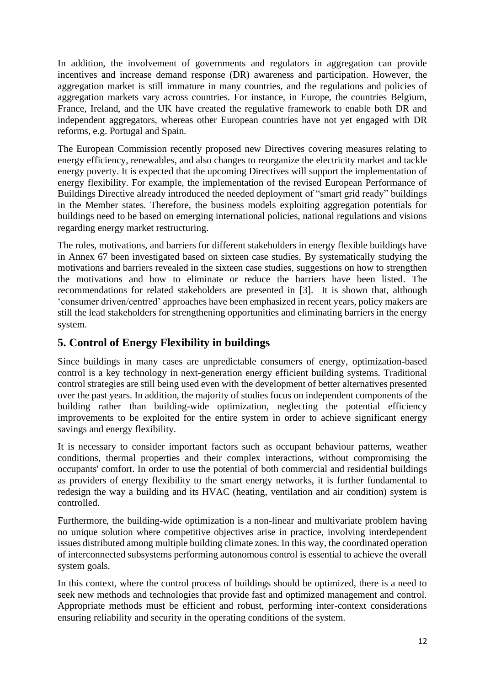In addition, the involvement of governments and regulators in aggregation can provide incentives and increase demand response (DR) awareness and participation. However, the aggregation market is still immature in many countries, and the regulations and policies of aggregation markets vary across countries. For instance, in Europe, the countries Belgium, France, Ireland, and the UK have created the regulative framework to enable both DR and independent aggregators, whereas other European countries have not yet engaged with DR reforms, e.g. Portugal and Spain.

The European Commission recently proposed new Directives covering measures relating to energy efficiency, renewables, and also changes to reorganize the electricity market and tackle energy poverty. It is expected that the upcoming Directives will support the implementation of energy flexibility. For example, the implementation of the revised European Performance of Buildings Directive already introduced the needed deployment of "smart grid ready" buildings in the Member states. Therefore, the business models exploiting aggregation potentials for buildings need to be based on emerging international policies, national regulations and visions regarding energy market restructuring.

The roles, motivations, and barriers for different stakeholders in energy flexible buildings have in Annex 67 been investigated based on sixteen case studies. By systematically studying the motivations and barriers revealed in the sixteen case studies, suggestions on how to strengthen the motivations and how to eliminate or reduce the barriers have been listed. The recommendations for related stakeholders are presented in [3]. It is shown that, although 'consumer driven/centred' approaches have been emphasized in recent years, policy makers are still the lead stakeholders for strengthening opportunities and eliminating barriers in the energy system.

#### **5. Control of Energy Flexibility in buildings**

Since buildings in many cases are unpredictable consumers of energy, optimization-based control is a key technology in next-generation energy efficient building systems. Traditional control strategies are still being used even with the development of better alternatives presented over the past years. In addition, the majority of studies focus on independent components of the building rather than building-wide optimization, neglecting the potential efficiency improvements to be exploited for the entire system in order to achieve significant energy savings and energy flexibility.

It is necessary to consider important factors such as occupant behaviour patterns, weather conditions, thermal properties and their complex interactions, without compromising the occupants' comfort. In order to use the potential of both commercial and residential buildings as providers of energy flexibility to the smart energy networks, it is further fundamental to redesign the way a building and its HVAC (heating, ventilation and air condition) system is controlled.

Furthermore, the building-wide optimization is a non-linear and multivariate problem having no unique solution where competitive objectives arise in practice, involving interdependent issues distributed among multiple building climate zones. In this way, the coordinated operation of interconnected subsystems performing autonomous control is essential to achieve the overall system goals.

In this context, where the control process of buildings should be optimized, there is a need to seek new methods and technologies that provide fast and optimized management and control. Appropriate methods must be efficient and robust, performing inter-context considerations ensuring reliability and security in the operating conditions of the system.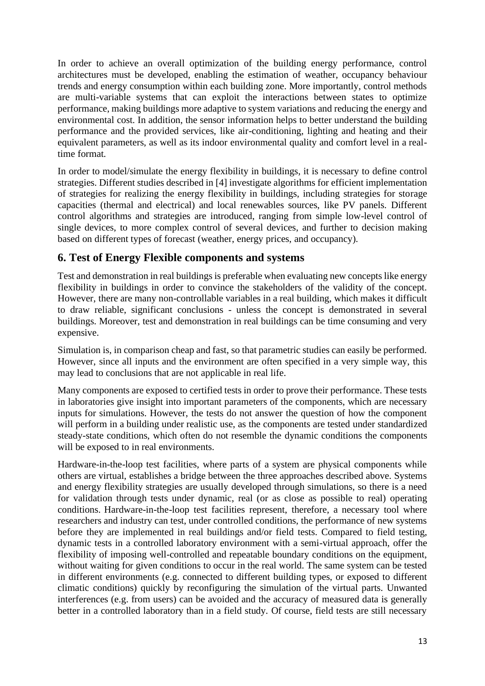In order to achieve an overall optimization of the building energy performance, control architectures must be developed, enabling the estimation of weather, occupancy behaviour trends and energy consumption within each building zone. More importantly, control methods are multi-variable systems that can exploit the interactions between states to optimize performance, making buildings more adaptive to system variations and reducing the energy and environmental cost. In addition, the sensor information helps to better understand the building performance and the provided services, like air-conditioning, lighting and heating and their equivalent parameters, as well as its indoor environmental quality and comfort level in a realtime format.

In order to model/simulate the energy flexibility in buildings, it is necessary to define control strategies. Different studies described in [4] investigate algorithms for efficient implementation of strategies for realizing the energy flexibility in buildings, including strategies for storage capacities (thermal and electrical) and local renewables sources, like PV panels. Different control algorithms and strategies are introduced, ranging from simple low-level control of single devices, to more complex control of several devices, and further to decision making based on different types of forecast (weather, energy prices, and occupancy).

#### **6. Test of Energy Flexible components and systems**

Test and demonstration in real buildings is preferable when evaluating new concepts like energy flexibility in buildings in order to convince the stakeholders of the validity of the concept. However, there are many non-controllable variables in a real building, which makes it difficult to draw reliable, significant conclusions - unless the concept is demonstrated in several buildings. Moreover, test and demonstration in real buildings can be time consuming and very expensive.

Simulation is, in comparison cheap and fast, so that parametric studies can easily be performed. However, since all inputs and the environment are often specified in a very simple way, this may lead to conclusions that are not applicable in real life.

Many components are exposed to certified tests in order to prove their performance. These tests in laboratories give insight into important parameters of the components, which are necessary inputs for simulations. However, the tests do not answer the question of how the component will perform in a building under realistic use, as the components are tested under standardized steady-state conditions, which often do not resemble the dynamic conditions the components will be exposed to in real environments.

Hardware-in-the-loop test facilities, where parts of a system are physical components while others are virtual, establishes a bridge between the three approaches described above. Systems and energy flexibility strategies are usually developed through simulations, so there is a need for validation through tests under dynamic, real (or as close as possible to real) operating conditions. Hardware-in-the-loop test facilities represent, therefore, a necessary tool where researchers and industry can test, under controlled conditions, the performance of new systems before they are implemented in real buildings and/or field tests. Compared to field testing, dynamic tests in a controlled laboratory environment with a semi-virtual approach, offer the flexibility of imposing well-controlled and repeatable boundary conditions on the equipment, without waiting for given conditions to occur in the real world. The same system can be tested in different environments (e.g. connected to different building types, or exposed to different climatic conditions) quickly by reconfiguring the simulation of the virtual parts. Unwanted interferences (e.g. from users) can be avoided and the accuracy of measured data is generally better in a controlled laboratory than in a field study. Of course, field tests are still necessary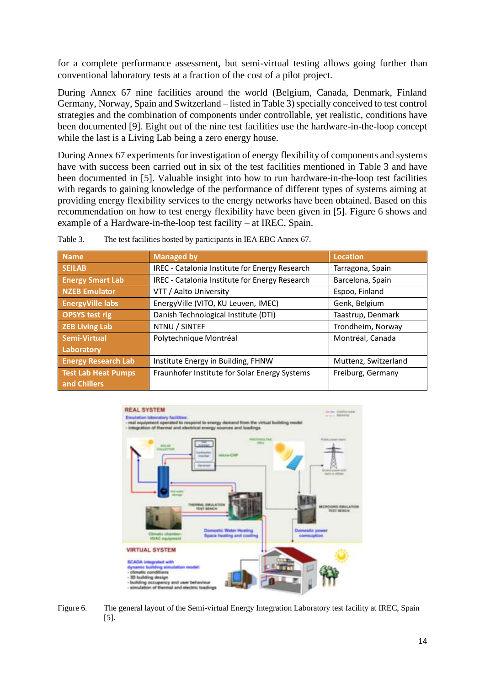for a complete performance assessment, but semi-virtual testing allows going further than conventional laboratory tests at a fraction of the cost of a pilot project.

During Annex 67 nine facilities around the world (Belgium, Canada, Denmark, Finland Germany, Norway, Spain and Switzerland – listed in Table 3) specially conceived to test control strategies and the combination of components under controllable, yet realistic, conditions have been documented [9]. Eight out of the nine test facilities use the hardware-in-the-loop concept while the last is a Living Lab being a zero energy house.

During Annex 67 experiments for investigation of energy flexibility of components and systems have with success been carried out in six of the test facilities mentioned in Table 3 and have been documented in [5]. Valuable insight into how to run hardware-in-the-loop test facilities with regards to gaining knowledge of the performance of different types of systems aiming at providing energy flexibility services to the energy networks have been obtained. Based on this recommendation on how to test energy flexibility have been given in [5]. Figure 6 shows and example of a Hardware-in-the-loop test facility – at IREC, Spain.

| <b>Name</b>                | <b>Managed by</b>                              | <b>Location</b>      |
|----------------------------|------------------------------------------------|----------------------|
| <b>SEILAB</b>              | IREC - Catalonia Institute for Energy Research | Tarragona, Spain     |
| <b>Energy Smart Lab</b>    | IREC - Catalonia Institute for Energy Research | Barcelona, Spain     |
| <b>NZEB Emulator</b>       | VTT / Aalto University                         | Espoo, Finland       |
| <b>EnergyVille labs</b>    | EnergyVille (VITO, KU Leuven, IMEC)            | Genk, Belgium        |
| <b>OPSYS test rig</b>      | Danish Technological Institute (DTI)           | Taastrup, Denmark    |
| <b>ZEB Living Lab</b>      | NTNU / SINTEF                                  | Trondheim, Norway    |
| Semi-Virtual               | Polytechnique Montréal                         | Montréal, Canada     |
| Laboratory                 |                                                |                      |
| <b>Energy Research Lab</b> | Institute Energy in Building, FHNW             | Muttenz, Switzerland |
| <b>Test Lab Heat Pumps</b> | Fraunhofer Institute for Solar Energy Systems  | Freiburg, Germany    |
| and Chillers               |                                                |                      |

Table 3. The test facilities hosted by participants in IEA EBC Annex 67.



Figure 6. The general layout of the Semi-virtual Energy Integration Laboratory test facility at IREC, Spain [5].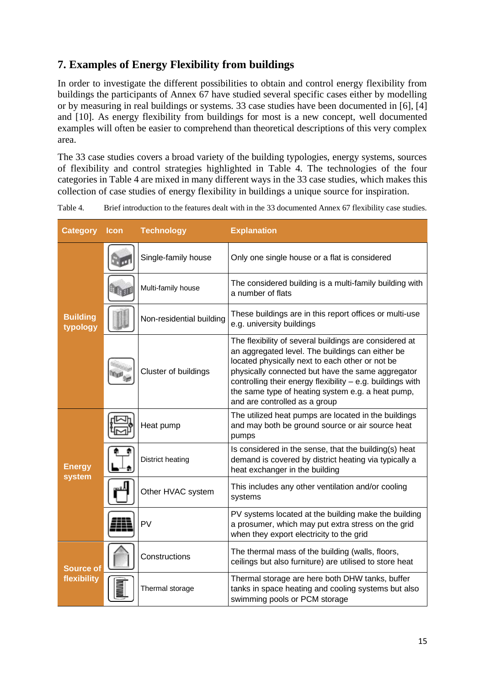### **7. Examples of Energy Flexibility from buildings**

In order to investigate the different possibilities to obtain and control energy flexibility from buildings the participants of Annex 67 have studied several specific cases either by modelling or by measuring in real buildings or systems. 33 case studies have been documented in [6], [4] and [10]. As energy flexibility from buildings for most is a new concept, well documented examples will often be easier to comprehend than theoretical descriptions of this very complex area.

The 33 case studies covers a broad variety of the building typologies, energy systems, sources of flexibility and control strategies highlighted in Table 4. The technologies of the four categories in Table 4 are mixed in many different ways in the 33 case studies, which makes this collection of case studies of energy flexibility in buildings a unique source for inspiration.

| Table 4. | Brief introduction to the features dealt with in the 33 documented Annex 67 flexibility case studies. |  |
|----------|-------------------------------------------------------------------------------------------------------|--|
|          |                                                                                                       |  |

| <b>Category</b>                 | <b>Icon</b> | <b>Technology</b>        | <b>Explanation</b>                                                                                                                                                                                                                                                                                                                                                     |
|---------------------------------|-------------|--------------------------|------------------------------------------------------------------------------------------------------------------------------------------------------------------------------------------------------------------------------------------------------------------------------------------------------------------------------------------------------------------------|
|                                 |             | Single-family house      | Only one single house or a flat is considered                                                                                                                                                                                                                                                                                                                          |
|                                 |             | Multi-family house       | The considered building is a multi-family building with<br>a number of flats                                                                                                                                                                                                                                                                                           |
| <b>Building</b><br>typology     |             | Non-residential building | These buildings are in this report offices or multi-use<br>e.g. university buildings                                                                                                                                                                                                                                                                                   |
|                                 |             | Cluster of buildings     | The flexibility of several buildings are considered at<br>an aggregated level. The buildings can either be<br>located physically next to each other or not be<br>physically connected but have the same aggregator<br>controlling their energy flexibility - e.g. buildings with<br>the same type of heating system e.g. a heat pump,<br>and are controlled as a group |
| <b>Energy</b><br>system         |             | Heat pump                | The utilized heat pumps are located in the buildings<br>and may both be ground source or air source heat<br>pumps                                                                                                                                                                                                                                                      |
|                                 |             | <b>District heating</b>  | Is considered in the sense, that the building(s) heat<br>demand is covered by district heating via typically a<br>heat exchanger in the building                                                                                                                                                                                                                       |
|                                 |             | Other HVAC system        | This includes any other ventilation and/or cooling<br>systems                                                                                                                                                                                                                                                                                                          |
|                                 |             | PV                       | PV systems located at the building make the building<br>a prosumer, which may put extra stress on the grid<br>when they export electricity to the grid                                                                                                                                                                                                                 |
| <b>Source of</b><br>flexibility |             | Constructions            | The thermal mass of the building (walls, floors,<br>ceilings but also furniture) are utilised to store heat                                                                                                                                                                                                                                                            |
|                                 |             | Thermal storage          | Thermal storage are here both DHW tanks, buffer<br>tanks in space heating and cooling systems but also<br>swimming pools or PCM storage                                                                                                                                                                                                                                |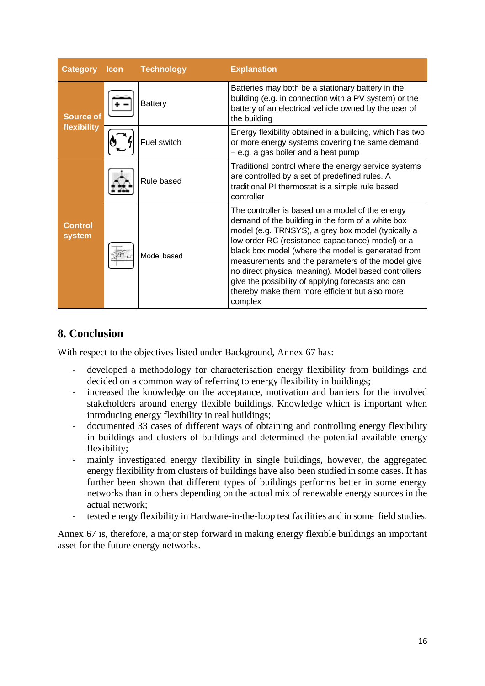| <b>Category</b>                 | <b>Icon</b> | <b>Technology</b> | <b>Explanation</b>                                                                                                                                                                                                                                                                                                                                                                                                                                                                                     |
|---------------------------------|-------------|-------------------|--------------------------------------------------------------------------------------------------------------------------------------------------------------------------------------------------------------------------------------------------------------------------------------------------------------------------------------------------------------------------------------------------------------------------------------------------------------------------------------------------------|
| <b>Source of</b><br>flexibility |             | <b>Battery</b>    | Batteries may both be a stationary battery in the<br>building (e.g. in connection with a PV system) or the<br>battery of an electrical vehicle owned by the user of<br>the building                                                                                                                                                                                                                                                                                                                    |
|                                 |             | Fuel switch       | Energy flexibility obtained in a building, which has two<br>or more energy systems covering the same demand<br>$-$ e.g. a gas boiler and a heat pump                                                                                                                                                                                                                                                                                                                                                   |
| <b>Control</b><br>system        |             | Rule based        | Traditional control where the energy service systems<br>are controlled by a set of predefined rules. A<br>traditional PI thermostat is a simple rule based<br>controller                                                                                                                                                                                                                                                                                                                               |
|                                 |             | Model based       | The controller is based on a model of the energy<br>demand of the building in the form of a white box<br>model (e.g. TRNSYS), a grey box model (typically a<br>low order RC (resistance-capacitance) model) or a<br>black box model (where the model is generated from<br>measurements and the parameters of the model give<br>no direct physical meaning). Model based controllers<br>give the possibility of applying forecasts and can<br>thereby make them more efficient but also more<br>complex |

### **8. Conclusion**

With respect to the objectives listed under Background, Annex 67 has:

- developed a methodology for characterisation energy flexibility from buildings and decided on a common way of referring to energy flexibility in buildings;
- increased the knowledge on the acceptance, motivation and barriers for the involved stakeholders around energy flexible buildings. Knowledge which is important when introducing energy flexibility in real buildings;
- documented 33 cases of different ways of obtaining and controlling energy flexibility in buildings and clusters of buildings and determined the potential available energy flexibility;
- mainly investigated energy flexibility in single buildings, however, the aggregated energy flexibility from clusters of buildings have also been studied in some cases. It has further been shown that different types of buildings performs better in some energy networks than in others depending on the actual mix of renewable energy sources in the actual network;
- tested energy flexibility in Hardware-in-the-loop test facilities and in some field studies.

Annex 67 is, therefore, a major step forward in making energy flexible buildings an important asset for the future energy networks.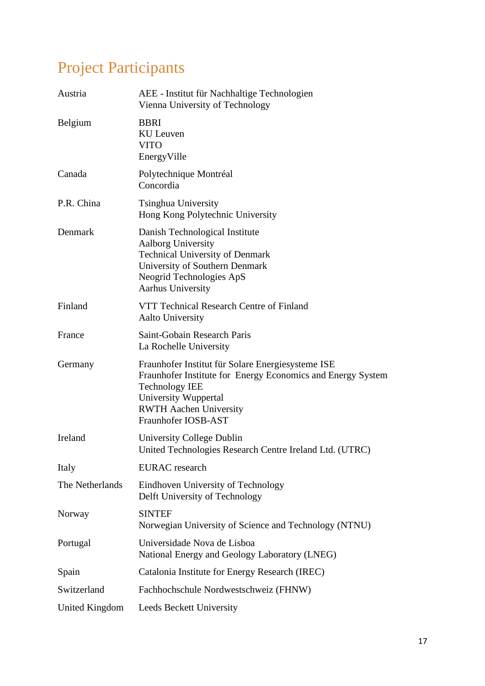# Project Participants

| Austria         | AEE - Institut für Nachhaltige Technologien<br>Vienna University of Technology                                                                                                                                            |
|-----------------|---------------------------------------------------------------------------------------------------------------------------------------------------------------------------------------------------------------------------|
| Belgium         | <b>BBRI</b><br><b>KU</b> Leuven<br><b>VITO</b><br>EnergyVille                                                                                                                                                             |
| Canada          | Polytechnique Montréal<br>Concordia                                                                                                                                                                                       |
| P.R. China      | <b>Tsinghua University</b><br>Hong Kong Polytechnic University                                                                                                                                                            |
| Denmark         | Danish Technological Institute<br><b>Aalborg University</b><br><b>Technical University of Denmark</b><br>University of Southern Denmark<br>Neogrid Technologies ApS<br><b>Aarhus University</b>                           |
| Finland         | VTT Technical Research Centre of Finland<br><b>Aalto University</b>                                                                                                                                                       |
| France          | Saint-Gobain Research Paris<br>La Rochelle University                                                                                                                                                                     |
| Germany         | Fraunhofer Institut für Solare Energiesysteme ISE<br>Fraunhofer Institute for Energy Economics and Energy System<br><b>Technology IEE</b><br>University Wuppertal<br><b>RWTH Aachen University</b><br>Fraunhofer IOSB-AST |
| Ireland         | University College Dublin<br>United Technologies Research Centre Ireland Ltd. (UTRC)                                                                                                                                      |
| Italy           | <b>EURAC</b> research                                                                                                                                                                                                     |
| The Netherlands | Eindhoven University of Technology<br>Delft University of Technology                                                                                                                                                      |
| Norway          | <b>SINTEF</b><br>Norwegian University of Science and Technology (NTNU)                                                                                                                                                    |
| Portugal        | Universidade Nova de Lisboa<br>National Energy and Geology Laboratory (LNEG)                                                                                                                                              |
| Spain           | Catalonia Institute for Energy Research (IREC)                                                                                                                                                                            |
| Switzerland     | Fachhochschule Nordwestschweiz (FHNW)                                                                                                                                                                                     |
| United Kingdom  | <b>Leeds Beckett University</b>                                                                                                                                                                                           |